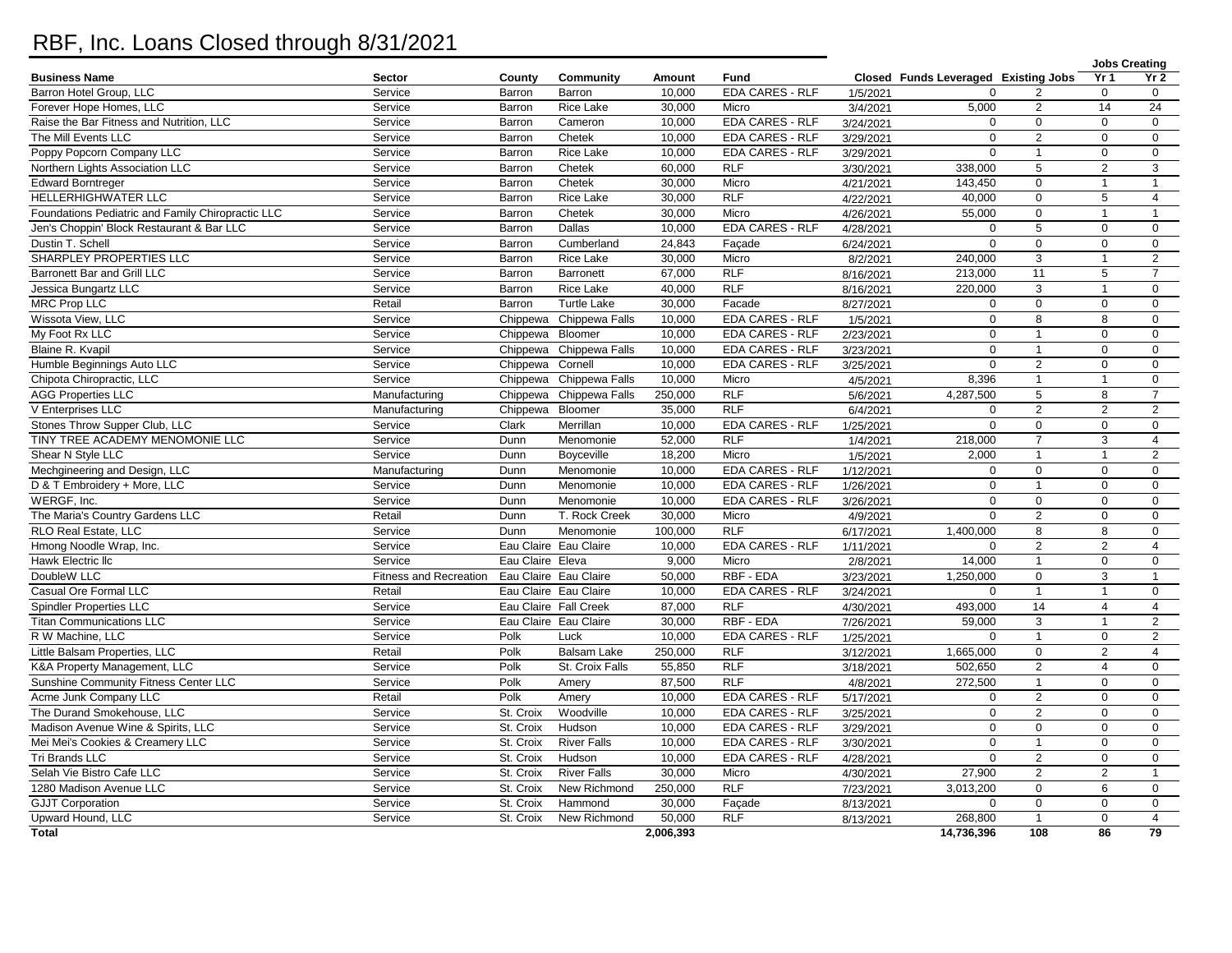## RBF, Inc. Loans Closed through 8/31/2021

|                                                   |                        |                  |                         |           |                        |                        |                                      |                |                 | <b>Jobs Creating</b> |
|---------------------------------------------------|------------------------|------------------|-------------------------|-----------|------------------------|------------------------|--------------------------------------|----------------|-----------------|----------------------|
| <b>Business Name</b>                              | <b>Sector</b>          | County           | Community               | Amount    | Fund                   |                        | Closed Funds Leveraged Existing Jobs |                | Yr <sub>1</sub> | Yr <sub>2</sub>      |
| Barron Hotel Group, LLC                           | Service                | Barron           | Barron                  | 10.000    | <b>EDA CARES - RLF</b> | 1/5/2021               | $\Omega$                             |                | $\mathbf 0$     | $\mathbf 0$          |
| Forever Hope Homes, LLC                           | Service                | Barron           | Rice Lake               | 30,000    | Micro                  | 3/4/2021               | 5,000                                | 2              | 14              | 24                   |
| Raise the Bar Fitness and Nutrition, LLC          | Service                | Barron           | Cameron                 | 10,000    | EDA CARES - RLF        | 3/24/2021              | $\mathbf 0$                          | $\mathbf 0$    | $\mathbf 0$     | $\mathbf{0}$         |
| The Mill Events LLC                               | Service                | Barron           | Chetek                  | 10,000    | <b>EDA CARES - RLF</b> | 3/29/2021              | $\Omega$                             | $\overline{2}$ | $\mathbf 0$     | $\mathbf 0$          |
| Poppy Popcorn Company LLC                         | Service                | Barron           | Rice Lake               | 10,000    | EDA CARES - RLF        | 3/29/2021              | $\mathbf 0$                          | $\overline{1}$ | $\mathbf 0$     | $\mathbf 0$          |
| Northern Lights Association LLC                   | Service                | Barron           | Chetek                  | 60.000    | <b>RLF</b>             | 3/30/2021              | 338.000                              | 5              | $\mathbf{2}$    | 3                    |
| <b>Edward Borntreger</b>                          | Service                | Barron           | Chetek                  | 30,000    | Micro                  | 4/21/2021              | 143,450                              | $\mathbf 0$    | $\mathbf{1}$    | $\mathbf{1}$         |
| HELLERHIGHWATER LLC                               | Service                | Barron           | Rice Lake               | 30,000    | RLF                    | 4/22/2021              | 40,000                               | $\mathbf 0$    | 5               | $\overline{4}$       |
| Foundations Pediatric and Family Chiropractic LLC | Service                | Barron           | Chetek                  | 30,000    | Micro                  | 4/26/2021              | 55,000                               | $\Omega$       | $\mathbf{1}$    | $\mathbf{1}$         |
| Jen's Choppin' Block Restaurant & Bar LLC         | Service                | Barron           | Dallas                  | 10,000    | <b>EDA CARES - RLF</b> | 4/28/2021              | $\Omega$                             | 5              | $\mathbf 0$     | $\mathbf 0$          |
| Dustin T. Schell                                  | Service                | Barron           | Cumberland              | 24,843    | Façade                 | 6/24/2021              | $\mathbf{0}$                         | $\mathbf 0$    | $\pmb{0}$       | $\mathbf{0}$         |
| SHARPLEY PROPERTIES LLC                           | Service                | Barron           | <b>Rice Lake</b>        | 30,000    | Micro                  | 8/2/2021               | 240,000                              | 3              | $\mathbf{1}$    | $\overline{2}$       |
| Barronett Bar and Grill LLC                       | Service                | Barron           | Barronett               | 67,000    | <b>RLF</b>             | 8/16/2021              | 213,000                              | 11             | 5               | $\overline{7}$       |
| Jessica Bungartz LLC                              | Service                | Barron           | Rice Lake               | 40,000    | <b>RLF</b>             | 8/16/2021              | 220,000                              | 3              | $\mathbf{1}$    | $\mathbf 0$          |
| <b>MRC Prop LLC</b>                               | Retail                 | Barron           | <b>Turtle Lake</b>      | 30,000    | Facade                 | 8/27/2021              | $\Omega$                             | $\mathbf 0$    | $\mathbf 0$     | $\mathbf 0$          |
| Wissota View, LLC                                 | Service                | Chippewa         | Chippewa Falls          | 10,000    | EDA CARES - RLF        | 1/5/2021               | $\Omega$                             | 8              | 8               | $\mathbf 0$          |
| My Foot Rx LLC                                    | Service                | Chippewa         | Bloomer                 | 10,000    | <b>EDA CARES - RLF</b> | 2/23/2021              | $\mathbf 0$                          | $\overline{1}$ | $\mathbf 0$     | $\mathbf 0$          |
| Blaine R. Kvapil                                  | Service                | Chippewa         | Chippewa Falls          | 10.000    | <b>EDA CARES - RLF</b> | 3/23/2021              | $\Omega$                             | $\overline{1}$ | $\Omega$        | $\mathbf 0$          |
| Humble Beginnings Auto LLC                        | Service                | Chippewa         | Cornell                 | 10,000    | <b>EDA CARES - RLF</b> | 3/25/2021              | $\mathbf 0$                          | 2              | 0               | $\mathbf 0$          |
| Chipota Chiropractic, LLC                         | Service                | Chippewa         | Chippewa Falls          | 10,000    | Micro                  | 4/5/2021               | 8,396                                | $\overline{1}$ | $\mathbf{1}$    | $\mathbf 0$          |
| <b>AGG Properties LLC</b>                         | Manufacturing          | Chippewa         | Chippewa Falls          | 250,000   | RLF                    | 5/6/2021               | 4,287,500                            | $\overline{5}$ | 8               | $\overline{7}$       |
| V Enterprises LLC                                 | Manufacturing          | Chippewa         | Bloomer                 | 35,000    | <b>RLF</b>             | 6/4/2021               | $\mathbf 0$                          | $\overline{2}$ | $\overline{2}$  | $\overline{2}$       |
| Stones Throw Supper Club, LLC                     | Service                | Clark            | Merrillan               | 10,000    | EDA CARES - RLF        | 1/25/2021              | $\Omega$                             | $\mathbf 0$    | 0               | $\mathbf 0$          |
| TINY TREE ACADEMY MENOMONIE LLC                   | Service                | Dunn             | Menomonie               | 52,000    | RLF                    | 1/4/2021               | 218,000                              | $\overline{7}$ | 3               | $\overline{4}$       |
| Shear N Style LLC                                 | Service                | Dunn             | Boyceville              | 18,200    | Micro                  | 1/5/2021               | 2,000                                | $\overline{1}$ | $\mathbf{1}$    | $\overline{2}$       |
| Mechgineering and Design, LLC                     | Manufacturing          | Dunn             | Menomonie               | 10,000    | EDA CARES - RLF        | 1/12/2021              | $\Omega$                             | 0              | 0               | $\mathbf 0$          |
| D & T Embroidery + More, LLC                      | Service                | Dunn             | Menomonie               | 10,000    | <b>EDA CARES - RLF</b> | 1/26/2021              | $\Omega$                             | 1              | $\Omega$        | $\mathbf 0$          |
| WERGF, Inc.                                       | Service                | Dunn             | Menomonie               | 10,000    | <b>EDA CARES - RLF</b> | 3/26/2021              | $\Omega$                             | $\mathbf 0$    | $\mathbf 0$     | $\mathbf 0$          |
| The Maria's Country Gardens LLC                   | Retail                 | Dunn             | T. Rock Creek           | 30,000    | Micro                  | 4/9/2021               | $\Omega$                             | $\overline{2}$ | $\Omega$        | $\mathbf 0$          |
| RLO Real Estate, LLC                              | Service                | Dunn             | Menomonie               | 100,000   | <b>RLF</b>             | $\frac{1}{6}$ /17/2021 | 1,400,000                            | 8              | 8               | $\mathbf 0$          |
| Hmong Noodle Wrap, Inc.                           | Service                |                  | Eau Claire Eau Claire   | 10,000    | <b>EDA CARES - RLF</b> | 1/11/2021              | $\Omega$                             | $\overline{2}$ | $\overline{2}$  | $\overline{4}$       |
| Hawk Electric Ilc                                 | Service                | Eau Claire Eleva |                         | 9,000     | Micro                  | 2/8/2021               | 14,000                               | $\overline{1}$ | 0               | $\mathbf 0$          |
| DoubleW LLC                                       | Fitness and Recreation |                  | Eau Claire Eau Claire   | 50.000    | RBF - EDA              | 3/23/2021              | 1,250,000                            | $\mathbf 0$    | 3               | $\mathbf{1}$         |
| Casual Ore Formal LLC                             | Retail                 |                  | Eau Claire Eau Claire   | 10,000    | EDA CARES - RLF        | 3/24/2021              | $\mathbf 0$                          | $\overline{1}$ | $\mathbf{1}$    | $\mathbf 0$          |
| <b>Spindler Properties LLC</b>                    | Service                |                  | Eau Claire Fall Creek   | 87,000    | <b>RLF</b>             | 4/30/2021              | 493,000                              | 14             | $\overline{4}$  | $\overline{4}$       |
| <b>Titan Communications LLC</b>                   | Service                |                  | Eau Claire Eau Claire   | 30,000    | RBF - EDA              | 7/26/2021              | 59,000                               | 3              | $\mathbf{1}$    | $\overline{2}$       |
| R W Machine, LLC                                  | Service                | Polk             | Luck                    | 10,000    | <b>EDA CARES - RLF</b> | 1/25/2021              | $\Omega$                             | $\overline{1}$ | $\mathbf 0$     | 2                    |
| Little Balsam Properties, LLC                     | Retail                 | Polk             | <b>Balsam Lake</b>      | 250.000   | <b>RLF</b>             | 3/12/2021              | 1,665,000                            | $\Omega$       | $\overline{2}$  | $\overline{4}$       |
| K&A Property Management, LLC                      | Service                | Polk             | St. Croix Falls         | 55,850    | <b>RLF</b>             | 3/18/2021              | 502,650                              | 2              | $\overline{4}$  | $\mathbf 0$          |
| Sunshine Community Fitness Center LLC             | Service                | Polk             | Amery                   | 87,500    | <b>RLF</b>             | 4/8/2021               | 272,500                              | $\overline{1}$ | $\Omega$        | $\mathbf 0$          |
| Acme Junk Company LLC                             | Retail                 | Polk             | Amery                   | 10,000    | <b>EDA CARES - RLF</b> | 5/17/2021              | $\mathbf 0$                          | $\overline{2}$ | $\mathbf 0$     | $\mathbf 0$          |
| The Durand Smokehouse, LLC                        | Service                | St. Croix        | $\overline{W}$ oodville | 10,000    | <b>EDA CARES - RLF</b> | 3/25/2021              | $\mathbf 0$                          | 2              | $\mathbf 0$     | $\mathbf 0$          |
| Madison Avenue Wine & Spirits, LLC                | Service                | St. Croix        | Hudson                  | 10,000    | EDA CARES - RLF        | 3/29/2021              | $\Omega$                             | $\mathbf 0$    | $\mathbf 0$     | $\mathbf 0$          |
| Mei Mei's Cookies & Creamery LLC                  | Service                | St. Croix        | <b>River Falls</b>      | 10,000    | <b>EDA CARES - RLF</b> | 3/30/2021              | $\Omega$                             | $\overline{1}$ | $\Omega$        | $\mathbf 0$          |
| Tri Brands LLC                                    | Service                | St. Croix        | Hudson                  | 10,000    | EDA CARES - RLF        | 4/28/2021              | $\mathbf 0$                          | $\overline{2}$ | $\mathbf 0$     | $\mathbf 0$          |
| Selah Vie Bistro Cafe LLC                         | Service                | St. Croix        | <b>River Falls</b>      | 30,000    | Micro                  | 4/30/2021              | 27,900                               | 2              | $\overline{c}$  | $\mathbf{1}$         |
| 1280 Madison Avenue LLC                           | Service                | St. Croix        | New Richmond            | 250,000   | RLF                    | 7/23/2021              | 3,013,200                            | $\mathbf 0$    | 6               | $\mathbf 0$          |
| <b>GJJT Corporation</b>                           | Service                | St. Croix        | Hammond                 | 30,000    | Façade                 | 8/13/2021              | $\Omega$                             | $\mathbf 0$    | $\Omega$        | $\mathbf 0$          |
| Upward Hound, LLC                                 | Service                | St. Croix        | New Richmond            | 50,000    | <b>RLF</b>             | 8/13/2021              | 268,800                              | $\overline{1}$ | $\mathbf 0$     | $\overline{4}$       |
| <b>Total</b>                                      |                        |                  |                         | 2,006,393 |                        |                        | 14.736.396                           | 108            | $\overline{86}$ | $\overline{79}$      |